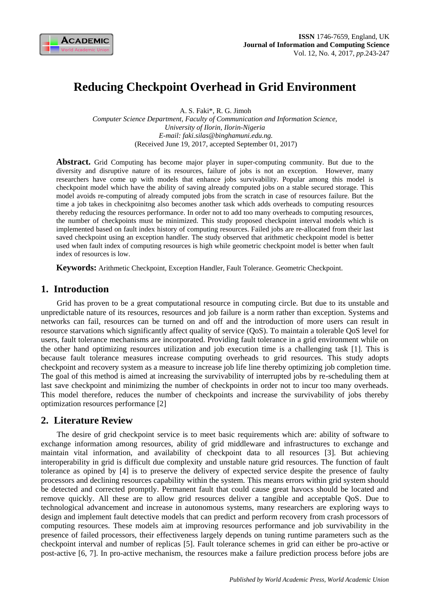

# **Reducing Checkpoint Overhead in Grid Environment**

A. S. Faki\*, R. G. Jimoh

*Computer Science Department, Faculty of Communication and Information Science, University of Ilorin, Ilorin-Nigeria E-mail: faki.silas@binghamuni.edu.ng.* (Received June 19, 2017, accepted September 01, 2017)

Abstract. Grid Computing has become major player in super-computing community. But due to the diversity and disruptive nature of its resources, failure of jobs is not an exception. However, many researchers have come up with models that enhance jobs survivability. Popular among this model is checkpoint model which have the ability of saving already computed jobs on a stable secured storage. This model avoids re-computing of already computed jobs from the scratch in case of resources failure. But the time a job takes in checkpoinitng also becomes another task which adds overheads to computing resources thereby reducing the resources performance. In order not to add too many overheads to computing resources, the number of checkpoints must be minimized. This study proposed checkpoint interval models which is implemented based on fault index history of computing resources. Failed jobs are re-allocated from their last saved checkpoint using an exception handler. The study observed that arithmetic checkpoint model is better used when fault index of computing resources is high while geometric checkpoint model is better when fault index of resources is low.

**Keywords:** Arithmetic Checkpoint, Exception Handler, Fault Tolerance. Geometric Checkpoint.

### **1. Introduction**

Grid has proven to be a great computational resource in computing circle. But due to its unstable and unpredictable nature of its resources, resources and job failure is a norm rather than exception. Systems and networks can fail, resources can be turned on and off and the introduction of more users can result in resource starvations which significantly affect quality of service (QoS). To maintain a tolerable QoS level for users, fault tolerance mechanisms are incorporated. Providing fault tolerance in a grid environment while on the other hand optimizing resources utilization and job execution time is a challenging task [1]. This is because fault tolerance measures increase computing overheads to grid resources. This study adopts checkpoint and recovery system as a measure to increase job life line thereby optimizing job completion time. The goal of this method is aimed at increasing the survivability of interrupted jobs by re-scheduling them at last save checkpoint and minimizing the number of checkpoints in order not to incur too many overheads. This model therefore, reduces the number of checkpoints and increase the survivability of jobs thereby optimization resources performance [2]

## **2. Literature Review**

The desire of grid checkpoint service is to meet basic requirements which are: ability of software to exchange information among resources, ability of grid middleware and infrastructures to exchange and maintain vital information, and availability of checkpoint data to all resources [3]. But achieving interoperability in grid is difficult due complexity and unstable nature grid resources. The function of fault tolerance as opined by [4] is to preserve the delivery of expected service despite the presence of faulty processors and declining resources capability within the system. This means errors within grid system should be detected and corrected promptly. Permanent fault that could cause great havocs should be located and remove quickly. All these are to allow grid resources deliver a tangible and acceptable QoS. Due to technological advancement and increase in autonomous systems, many researchers are exploring ways to design and implement fault detective models that can predict and perform recovery from crash processors of computing resources. These models aim at improving resources performance and job survivability in the presence of failed processors, their effectiveness largely depends on tuning runtime parameters such as the checkpoint interval and number of replicas [5]. Fault tolerance schemes in grid can either be pro-active or post-active [6, 7]. In pro-active mechanism, the resources make a failure prediction process before jobs are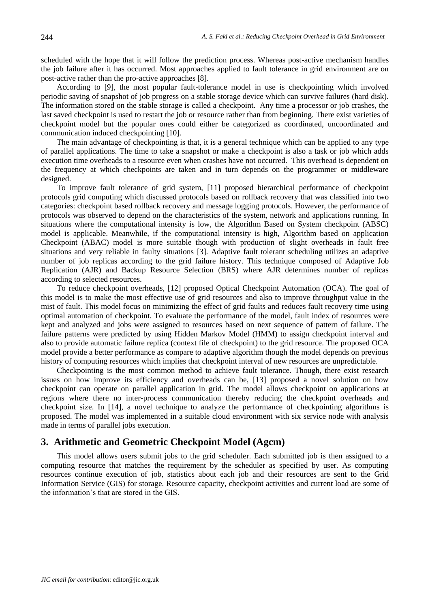scheduled with the hope that it will follow the prediction process. Whereas post-active mechanism handles the job failure after it has occurred. Most approaches applied to fault tolerance in grid environment are on post-active rather than the pro-active approaches [8].

According to [9], the most popular fault-tolerance model in use is checkpointing which involved periodic saving of snapshot of job progress on a stable storage device which can survive failures (hard disk). The information stored on the stable storage is called a checkpoint. Any time a processor or job crashes, the last saved checkpoint is used to restart the job or resource rather than from beginning. There exist varieties of checkpoint model but the popular ones could either be categorized as coordinated, uncoordinated and communication induced checkpointing [10].

The main advantage of checkpointing is that, it is a general technique which can be applied to any type of parallel applications. The time to take a snapshot or make a checkpoint is also a task or job which adds execution time overheads to a resource even when crashes have not occurred. This overhead is dependent on the frequency at which checkpoints are taken and in turn depends on the programmer or middleware designed.

To improve fault tolerance of grid system, [11] proposed hierarchical performance of checkpoint protocols grid computing which discussed protocols based on rollback recovery that was classified into two categories: checkpoint based rollback recovery and message logging protocols. However, the performance of protocols was observed to depend on the characteristics of the system, network and applications running. In situations where the computational intensity is low, the Algorithm Based on System checkpoint (ABSC) model is applicable. Meanwhile, if the computational intensity is high, Algorithm based on application Checkpoint (ABAC) model is more suitable though with production of slight overheads in fault free situations and very reliable in faulty situations [3]. Adaptive fault tolerant scheduling utilizes an adaptive number of job replicas according to the grid failure history. This technique composed of Adaptive Job Replication (AJR) and Backup Resource Selection (BRS) where AJR determines number of replicas according to selected resources.

To reduce checkpoint overheads, [12] proposed Optical Checkpoint Automation (OCA). The goal of this model is to make the most effective use of grid resources and also to improve throughput value in the mist of fault. This model focus on minimizing the effect of grid faults and reduces fault recovery time using optimal automation of checkpoint. To evaluate the performance of the model, fault index of resources were kept and analyzed and jobs were assigned to resources based on next sequence of pattern of failure. The failure patterns were predicted by using Hidden Markov Model (HMM) to assign checkpoint interval and also to provide automatic failure replica (context file of checkpoint) to the grid resource. The proposed OCA model provide a better performance as compare to adaptive algorithm though the model depends on previous history of computing resources which implies that checkpoint interval of new resources are unpredictable.

Checkpointing is the most common method to achieve fault tolerance. Though, there exist research issues on how improve its efficiency and overheads can be, [13] proposed a novel solution on how checkpoint can operate on parallel application in grid. The model allows checkpoint on applications at regions where there no inter-process communication thereby reducing the checkpoint overheads and checkpoint size. In [14], a novel technique to analyze the performance of checkpointing algorithms is proposed. The model was implemented in a suitable cloud environment with six service node with analysis made in terms of parallel jobs execution.

#### **3. Arithmetic and Geometric Checkpoint Model (Agcm)**

This model allows users submit jobs to the grid scheduler. Each submitted job is then assigned to a computing resource that matches the requirement by the scheduler as specified by user. As computing resources continue execution of job, statistics about each job and their resources are sent to the Grid Information Service (GIS) for storage. Resource capacity, checkpoint activities and current load are some of the information's that are stored in the GIS.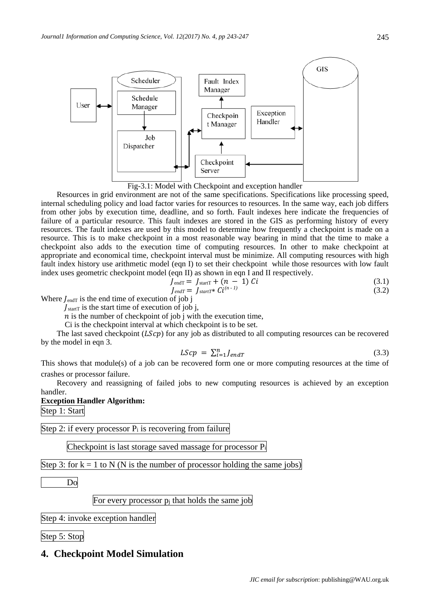

Fig-3.1: Model with Checkpoint and exception handler

Resources in grid environment are not of the same specifications. Specifications like processing speed, internal scheduling policy and load factor varies for resources to resources. In the same way, each job differs from other jobs by execution time, deadline, and so forth. Fault indexes here indicate the frequencies of failure of a particular resource. This fault indexes are stored in the GIS as performing history of every resources. The fault indexes are used by this model to determine how frequently a checkpoint is made on a resource. This is to make checkpoint in a most reasonable way bearing in mind that the time to make a checkpoint also adds to the execution time of computing resources. In other to make checkpoint at appropriate and economical time, checkpoint interval must be minimize. All computing resources with high fault index history use arithmetic model (eqn I) to set their checkpoint while those resources with low fault index uses geometric checkpoint model (eqn II) as shown in eqn I and II respectively.

$$
J_{\text{endT}} = J_{\text{start}} + (n - 1) Ci \tag{3.1}
$$

$$
J_{endT} = J_{startT} * Ci^{(n-1)}
$$
\n(3.2)

Where  $I_{\text{endT}}$  is the end time of execution of job j

 $\int_{\text{start}}$  is the start time of execution of job j,

 $n$  is the number of checkpoint of job j with the execution time,

Ci is the checkpoint interval at which checkpoint is to be set.

The last saved checkpoint  $(LScp)$  for any job as distributed to all computing resources can be recovered by the model in eqn 3.

$$
LScp = \sum_{i=1}^{n} J_{endT} \tag{3.3}
$$

This shows that module(s) of a job can be recovered form one or more computing resources at the time of crashes or processor failure.

Recovery and reassigning of failed jobs to new computing resources is achieved by an exception handler.

**Exception Handler Algorithm:**

Step 1: Start

Step 2: if every processor  $P_i$  is recovering from failure

Checkpoint is last storage saved massage for processor P<sup>i</sup>

Step 3: for  $k = 1$  to N (N is the number of processor holding the same jobs)

Do

For every processor p<sup>j</sup> that holds the same job

Step 4: invoke exception handler

Step 5: Stop

## **4. Checkpoint Model Simulation**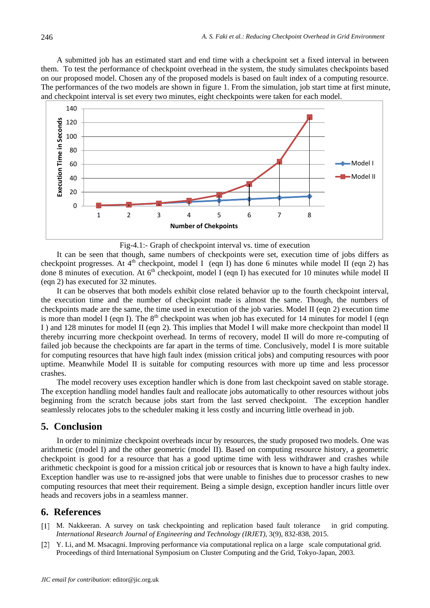A submitted job has an estimated start and end time with a checkpoint set a fixed interval in between them. To test the performance of checkpoint overhead in the system, the study simulates checkpoints based on our proposed model. Chosen any of the proposed models is based on fault index of a computing resource. The performances of the two models are shown in figure 1. From the simulation, job start time at first minute, and checkpoint interval is set every two minutes, eight checkpoints were taken for each model.



Fig-4.1:- Graph of checkpoint interval vs. time of execution

It can be seen that though, same numbers of checkpoints were set, execution time of jobs differs as checkpoint progresses. At  $4<sup>th</sup>$  checkpoint, model I (eqn I) has done 6 minutes while model II (eqn 2) has done 8 minutes of execution. At 6<sup>th</sup> checkpoint, model I (eqn I) has executed for 10 minutes while model II (eqn 2) has executed for 32 minutes.

It can be observes that both models exhibit close related behavior up to the fourth checkpoint interval, the execution time and the number of checkpoint made is almost the same. Though, the numbers of checkpoints made are the same, the time used in execution of the job varies. Model II (eqn 2) execution time is more than model I (eqn I). The  $8<sup>th</sup>$  checkpoint was when job has executed for 14 minutes for model I (eqn I ) and 128 minutes for model II (eqn 2). This implies that Model I will make more checkpoint than model II thereby incurring more checkpoint overhead. In terms of recovery, model II will do more re-computing of failed job because the checkpoints are far apart in the terms of time. Conclusively, model I is more suitable for computing resources that have high fault index (mission critical jobs) and computing resources with poor uptime. Meanwhile Model II is suitable for computing resources with more up time and less processor crashes.

The model recovery uses exception handler which is done from last checkpoint saved on stable storage. The exception handling model handles fault and reallocate jobs automatically to other resources without jobs beginning from the scratch because jobs start from the last served checkpoint. The exception handler seamlessly relocates jobs to the scheduler making it less costly and incurring little overhead in job.

#### **5. Conclusion**

In order to minimize checkpoint overheads incur by resources, the study proposed two models. One was arithmetic (model I) and the other geometric (model II). Based on computing resource history, a geometric checkpoint is good for a resource that has a good uptime time with less withdrawer and crashes while arithmetic checkpoint is good for a mission critical job or resources that is known to have a high faulty index. Exception handler was use to re-assigned jobs that were unable to finishes due to processor crashes to new computing resources that meet their requirement. Being a simple design, exception handler incurs little over heads and recovers jobs in a seamless manner.

#### **6. References**

- [1] M. Nakkeeran. A survey on task checkpointing and replication based fault tolerance in grid computing. *International Research Journal of Engineering and Technology (IRJET)*, 3(9), 832-838, 2015.
- [2] Y. Li, and M. Msacagni. Improving performance via computational replica on a large scale computational grid. Proceedings of third International Symposium on Cluster Computing and the Grid, Tokyo-Japan, 2003.